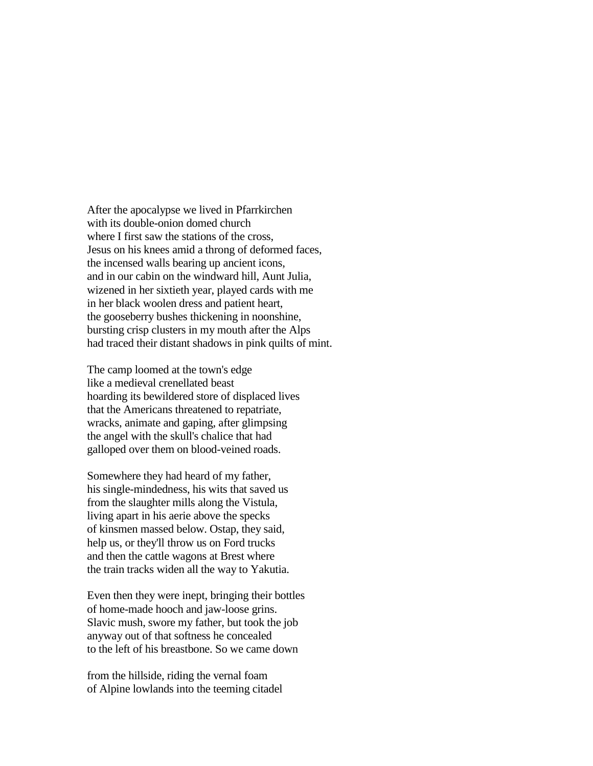After the apocalypse we lived in Pfarrkirchen with its double-onion domed church where I first saw the stations of the cross, Jesus on his knees amid a throng of deformed faces, the incensed walls bearing up ancient icons, and in our cabin on the windward hill, Aunt Julia, wizened in her sixtieth year, played cards with me in her black woolen dress and patient heart, the gooseberry bushes thickening in noonshine, bursting crisp clusters in my mouth after the Alps had traced their distant shadows in pink quilts of mint.

The camp loomed at the town's edge like a medieval crenellated beast hoarding its bewildered store of displaced lives that the Americans threatened to repatriate, wracks, animate and gaping, after glimpsing the angel with the skull's chalice that had galloped over them on blood-veined roads.

Somewhere they had heard of my father, his single-mindedness, his wits that saved us from the slaughter mills along the Vistula, living apart in his aerie above the specks of kinsmen massed below. Ostap, they said, help us, or they'll throw us on Ford trucks and then the cattle wagons at Brest where the train tracks widen all the way to Yakutia.

Even then they were inept, bringing their bottles of home-made hooch and jaw-loose grins. Slavic mush, swore my father, but took the job anyway out of that softness he concealed to the left of his breastbone. So we came down

from the hillside, riding the vernal foam of Alpine lowlands into the teeming citadel